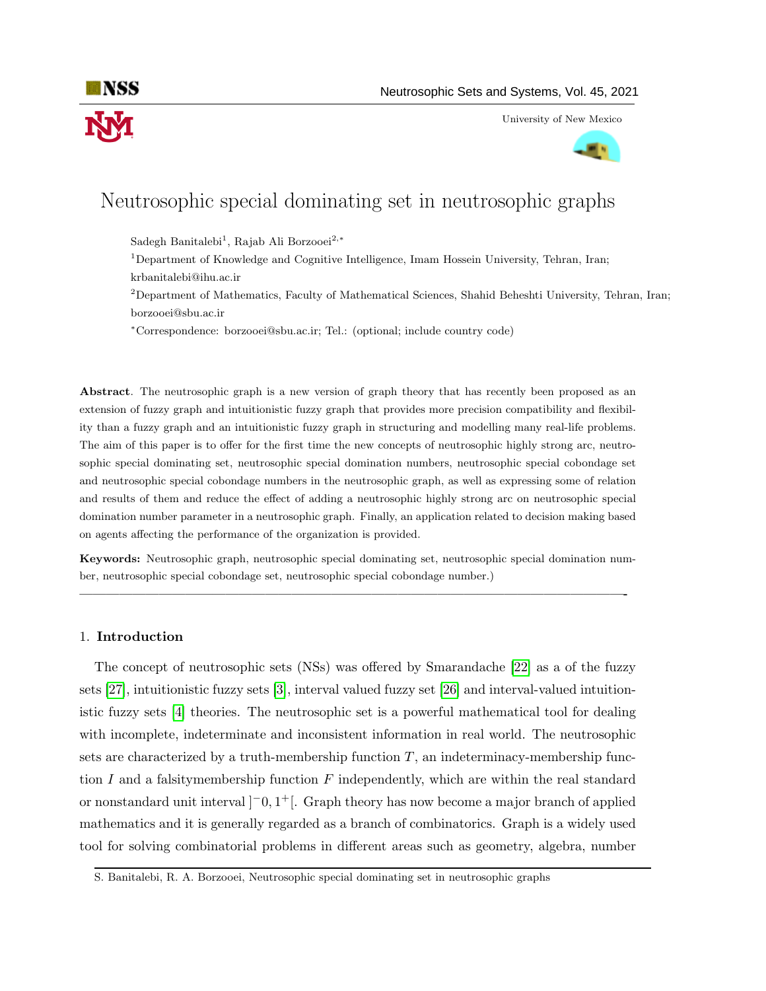

University of New Mexico



# Neutrosophic special dominating set in neutrosophic graphs

Sadegh Banitalebi<sup>1</sup>, Rajab Ali Borzooei<sup>2,∗</sup>

<sup>1</sup>Department of Knowledge and Cognitive Intelligence, Imam Hossein University, Tehran, Iran; krbanitalebi@ihu.ac.ir

<sup>2</sup>Department of Mathematics, Faculty of Mathematical Sciences, Shahid Beheshti University, Tehran, Iran; borzooei@sbu.ac.ir

<sup>∗</sup>Correspondence: borzooei@sbu.ac.ir; Tel.: (optional; include country code)

Abstract. The neutrosophic graph is a new version of graph theory that has recently been proposed as an extension of fuzzy graph and intuitionistic fuzzy graph that provides more precision compatibility and flexibility than a fuzzy graph and an intuitionistic fuzzy graph in structuring and modelling many real-life problems. The aim of this paper is to offer for the first time the new concepts of neutrosophic highly strong arc, neutrosophic special dominating set, neutrosophic special domination numbers, neutrosophic special cobondage set and neutrosophic special cobondage numbers in the neutrosophic graph, as well as expressing some of relation and results of them and reduce the effect of adding a neutrosophic highly strong arc on neutrosophic special domination number parameter in a neutrosophic graph. Finally, an application related to decision making based on agents affecting the performance of the organization is provided.

Keywords: Neutrosophic graph, neutrosophic special dominating set, neutrosophic special domination number, neutrosophic special cobondage set, neutrosophic special cobondage number.)

—————————————————————————————————————————-

#### 1. Introduction

The concept of neutrosophic sets (NSs) was offered by Smarandache [\[22\]](#page-13-0) as a of the fuzzy sets [\[27\]](#page-13-1), intuitionistic fuzzy sets [\[3\]](#page-12-0), interval valued fuzzy set [\[26\]](#page-13-2) and interval-valued intuitionistic fuzzy sets [\[4\]](#page-12-1) theories. The neutrosophic set is a powerful mathematical tool for dealing with incomplete, indeterminate and inconsistent information in real world. The neutrosophic sets are characterized by a truth-membership function  $T$ , an indeterminacy-membership function I and a falsitymembership function F independently, which are within the real standard or nonstandard unit interval  $]$ <sup>-</sup>0, 1<sup>+</sup>[. Graph theory has now become a major branch of applied mathematics and it is generally regarded as a branch of combinatorics. Graph is a widely used tool for solving combinatorial problems in different areas such as geometry, algebra, number

S. Banitalebi, R. A. Borzooei, Neutrosophic special dominating set in neutrosophic graphs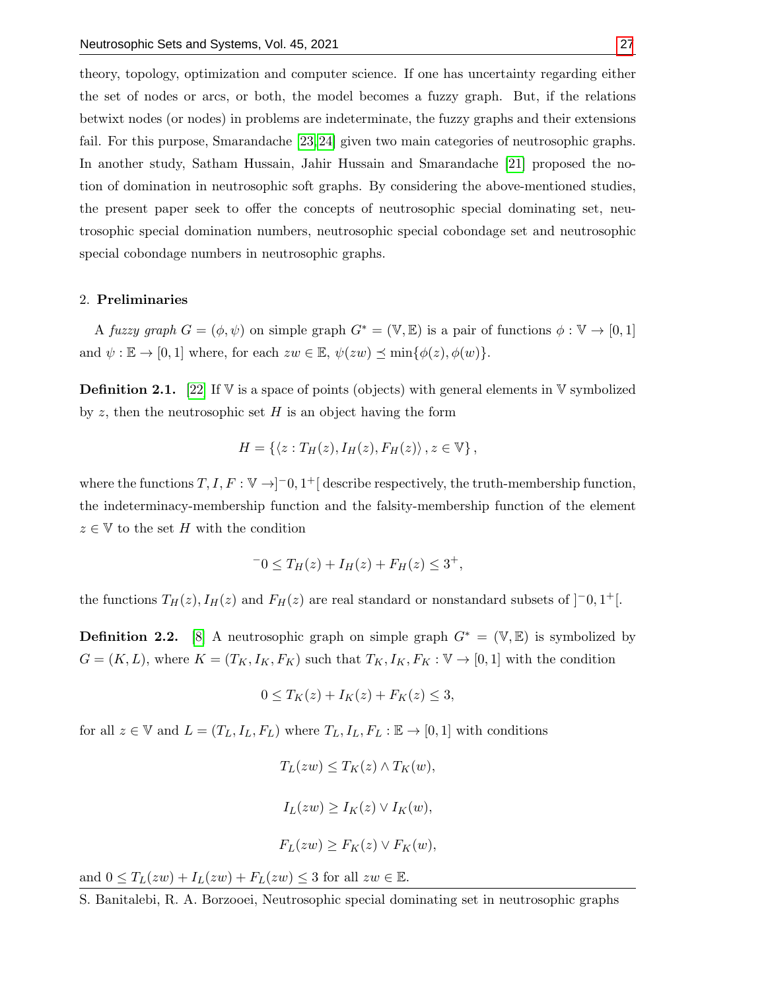theory, topology, optimization and computer science. If one has uncertainty regarding either the set of nodes or arcs, or both, the model becomes a fuzzy graph. But, if the relations betwixt nodes (or nodes) in problems are indeterminate, the fuzzy graphs and their extensions fail. For this purpose, Smarandache [\[23,](#page-13-4) [24\]](#page-13-5) given two main categories of neutrosophic graphs. In another study, Satham Hussain, Jahir Hussain and Smarandache [\[21\]](#page-13-6) proposed the notion of domination in neutrosophic soft graphs. By considering the above-mentioned studies, the present paper seek to offer the concepts of neutrosophic special dominating set, neutrosophic special domination numbers, neutrosophic special cobondage set and neutrosophic special cobondage numbers in neutrosophic graphs.

#### 2. Preliminaries

A fuzzy graph  $G = (\phi, \psi)$  on simple graph  $G^* = (\mathbb{V}, \mathbb{E})$  is a pair of functions  $\phi : \mathbb{V} \to [0, 1]$ and  $\psi : \mathbb{E} \to [0,1]$  where, for each  $zw \in \mathbb{E}$ ,  $\psi(zw) \preceq \min{\{\phi(z), \phi(w)\}}$ .

**Definition 2.1.** [\[22\]](#page-13-0) If  $\nabla$  is a space of points (objects) with general elements in  $\nabla$  symbolized by z, then the neutrosophic set  $H$  is an object having the form

$$
H = \{ \langle z : T_H(z), I_H(z), F_H(z) \rangle \, , z \in \mathbb{V} \},
$$

where the functions  $T, I, F: \mathbb{V} \to ]-0, 1^+]$  describe respectively, the truth-membership function, the indeterminacy-membership function and the falsity-membership function of the element  $z \in V$  to the set H with the condition

$$
-0 \le T_H(z) + I_H(z) + F_H(z) \le 3^+,
$$

the functions  $T_H(z)$ ,  $I_H(z)$  and  $F_H(z)$  are real standard or nonstandard subsets of  $]$ <sup>-</sup>0, 1<sup>+</sup>[.

**Definition 2.2.** [\[8\]](#page-12-2) A neutrosophic graph on simple graph  $G^* = (\mathbb{V}, \mathbb{E})$  is symbolized by  $G = (K, L)$ , where  $K = (T_K, I_K, F_K)$  such that  $T_K, I_K, F_K : \mathbb{V} \to [0, 1]$  with the condition

$$
0 \le T_K(z) + I_K(z) + F_K(z) \le 3,
$$

for all  $z \in \mathbb{V}$  and  $L = (T_L, I_L, F_L)$  where  $T_L, I_L, F_L : \mathbb{E} \to [0, 1]$  with conditions

$$
T_L(zw) \le T_K(z) \wedge T_K(w),
$$
  
\n
$$
I_L(zw) \ge I_K(z) \vee I_K(w),
$$
  
\n
$$
F_L(zw) \ge F_K(z) \vee F_K(w),
$$

and  $0 \leq T_L(zw) + I_L(zw) + F_L(zw) \leq 3$  for all  $zw \in \mathbb{E}$ .

S. Banitalebi, R. A. Borzooei, Neutrosophic special dominating set in neutrosophic graphs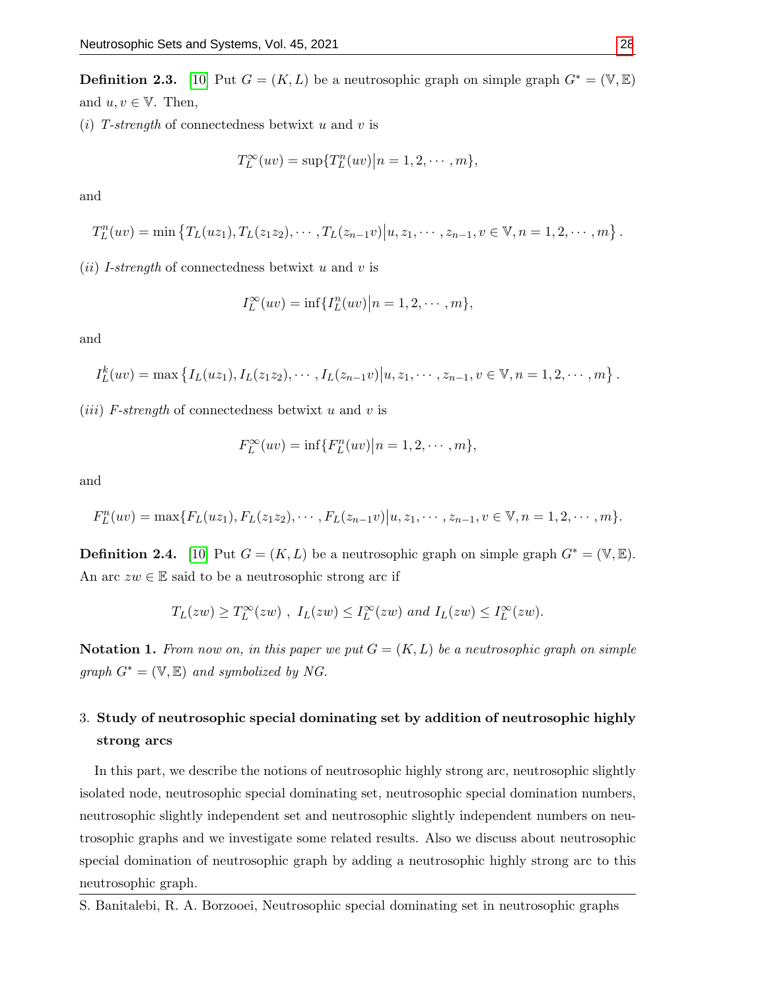**Definition 2.3.** [\[10\]](#page-12-3) Put  $G = (K, L)$  be a neutrosophic graph on simple graph  $G^* = (\mathbb{V}, \mathbb{E})$ and  $u, v \in \mathbb{V}$ . Then,

(i) T-strength of connectedness betwixt u and v is

$$
T_L^{\infty}(uv) = \sup\{T_L^n(uv)|n = 1, 2, \cdots, m\},\
$$

and

$$
T_L^n(uv) = \min \left\{ T_L(uz_1), T_L(z_1z_2), \cdots, T_L(z_{n-1}v) | u, z_1, \cdots, z_{n-1}, v \in V, n = 1, 2, \cdots, m \right\}.
$$

(*ii*) *I-strength* of connectedness betwixt u and v is

$$
I_L^{\infty}(uv) = \inf\{I_L^n(uv)|n = 1, 2, \cdots, m\},\
$$

and

$$
I_L^k(uv) = \max \left\{ I_L(uz_1), I_L(z_1z_2), \cdots, I_L(z_{n-1}v) \middle| u, z_1, \cdots, z_{n-1}, v \in V, n = 1, 2, \cdots, m \right\}.
$$

(*iii*) F-strength of connectedness betwixt u and v is

$$
F_L^{\infty}(uv) = \inf\{F_L^n(uv)\big|n=1,2,\cdots,m\},\,
$$

and

$$
F_L^n(uv) = \max\{F_L(uz_1), F_L(z_1z_2), \cdots, F_L(z_{n-1}v) | u, z_1, \cdots, z_{n-1}, v \in V, n = 1, 2, \cdots, m\}.
$$

**Definition 2.4.** [\[10\]](#page-12-3) Put  $G = (K, L)$  be a neutrosophic graph on simple graph  $G^* = (\mathbb{V}, \mathbb{E})$ . An arc  $zw \in \mathbb{E}$  said to be a neutrosophic strong arc if

$$
T_L(zw) \ge T_L^{\infty}(zw)
$$
,  $I_L(zw) \le I_L^{\infty}(zw)$  and  $I_L(zw) \le I_L^{\infty}(zw)$ .

**Notation 1.** From now on, in this paper we put  $G = (K, L)$  be a neutrosophic graph on simple graph  $G^* = (\mathbb{V}, \mathbb{E})$  and symbolized by NG.

# 3. Study of neutrosophic special dominating set by addition of neutrosophic highly strong arcs

In this part, we describe the notions of neutrosophic highly strong arc, neutrosophic slightly isolated node, neutrosophic special dominating set, neutrosophic special domination numbers, neutrosophic slightly independent set and neutrosophic slightly independent numbers on neutrosophic graphs and we investigate some related results. Also we discuss about neutrosophic special domination of neutrosophic graph by adding a neutrosophic highly strong arc to this neutrosophic graph.

S. Banitalebi, R. A. Borzooei, Neutrosophic special dominating set in neutrosophic graphs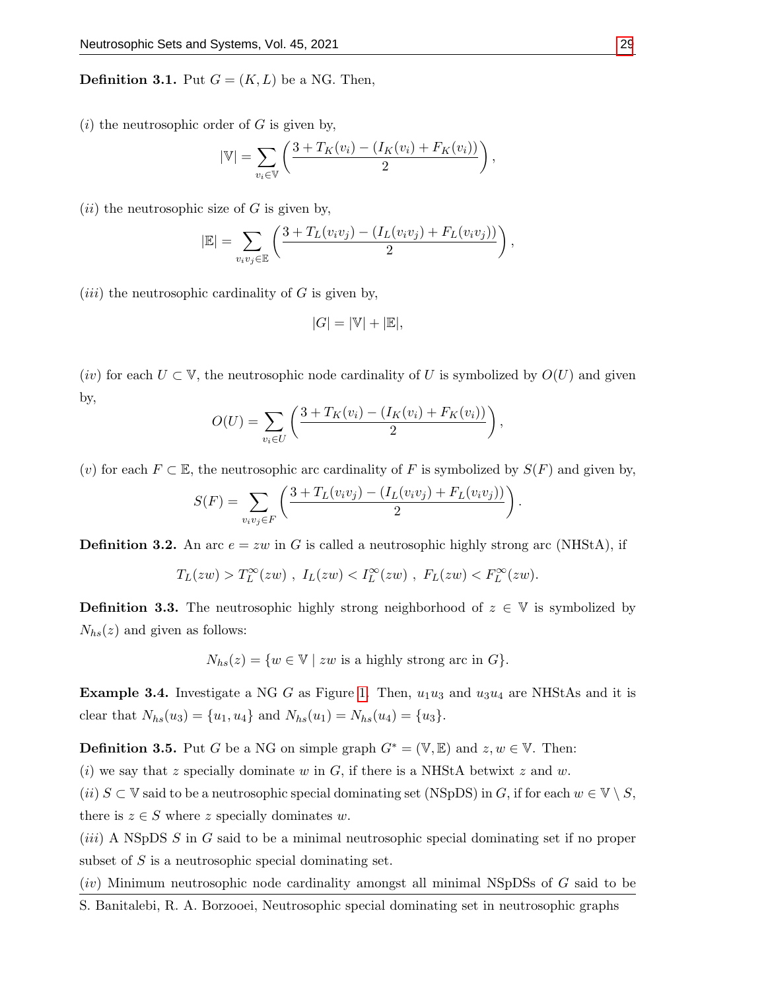**Definition 3.1.** Put  $G = (K, L)$  be a NG. Then,

 $(i)$  the neutrosophic order of G is given by,

$$
|\mathbb{V}| = \sum_{v_i \in \mathbb{V}} \left( \frac{3 + T_K(v_i) - (I_K(v_i) + F_K(v_i))}{2} \right),
$$

 $(ii)$  the neutrosophic size of G is given by,

$$
|\mathbb{E}| = \sum_{v_iv_j \in \mathbb{E}} \left( \frac{3 + T_L(v_iv_j) - (I_L(v_iv_j) + F_L(v_iv_j))}{2} \right),
$$

(*iii*) the neutrosophic cardinality of  $G$  is given by,

$$
|G|=|\mathbb{V}|+|\mathbb{E}|,
$$

(iv) for each  $U \subset V$ , the neutrosophic node cardinality of U is symbolized by  $O(U)$  and given by,

$$
O(U) = \sum_{v_i \in U} \left( \frac{3 + T_K(v_i) - (I_K(v_i) + F_K(v_i))}{2} \right),
$$

(v) for each  $F \subset \mathbb{E}$ , the neutrosophic arc cardinality of F is symbolized by  $S(F)$  and given by,

$$
S(F) = \sum_{v_i v_j \in F} \left( \frac{3 + T_L(v_i v_j) - (I_L(v_i v_j) + F_L(v_i v_j))}{2} \right).
$$

**Definition 3.2.** An arc  $e = zw$  in G is called a neutrosophic highly strong arc (NHStA), if

$$
T_L(zw) > T_L^{\infty}(zw) , I_L(zw) < I_L^{\infty}(zw) , F_L(zw) < F_L^{\infty}(zw).
$$

**Definition 3.3.** The neutrosophic highly strong neighborhood of  $z \in V$  is symbolized by  $N_{hs}(z)$  and given as follows:

 $N_{hs}(z) = \{w \in \mathbb{V} \mid zw \text{ is a highly strong arc in } G\}.$ 

**Example 3.4.** Investigate a NG G as Figure [1.](#page-4-0) Then,  $u_1u_3$  and  $u_3u_4$  are NHStAs and it is clear that  $N_{hs}(u_3) = \{u_1, u_4\}$  and  $N_{hs}(u_1) = N_{hs}(u_4) = \{u_3\}.$ 

**Definition 3.5.** Put G be a NG on simple graph  $G^* = (\mathbb{V}, \mathbb{E})$  and  $z, w \in \mathbb{V}$ . Then:

(i) we say that z specially dominate w in  $G$ , if there is a NHStA betwixt z and w.

(ii)  $S \subset \mathbb{V}$  said to be a neutrosophic special dominating set (NSpDS) in G, if for each  $w \in \mathbb{V} \setminus S$ , there is  $z \in S$  where z specially dominates w.

 $(iii)$  A NSpDS S in G said to be a minimal neutrosophic special dominating set if no proper subset of S is a neutrosophic special dominating set.

 $(iv)$  Minimum neutrosophic node cardinality amongst all minimal NSpDSs of G said to be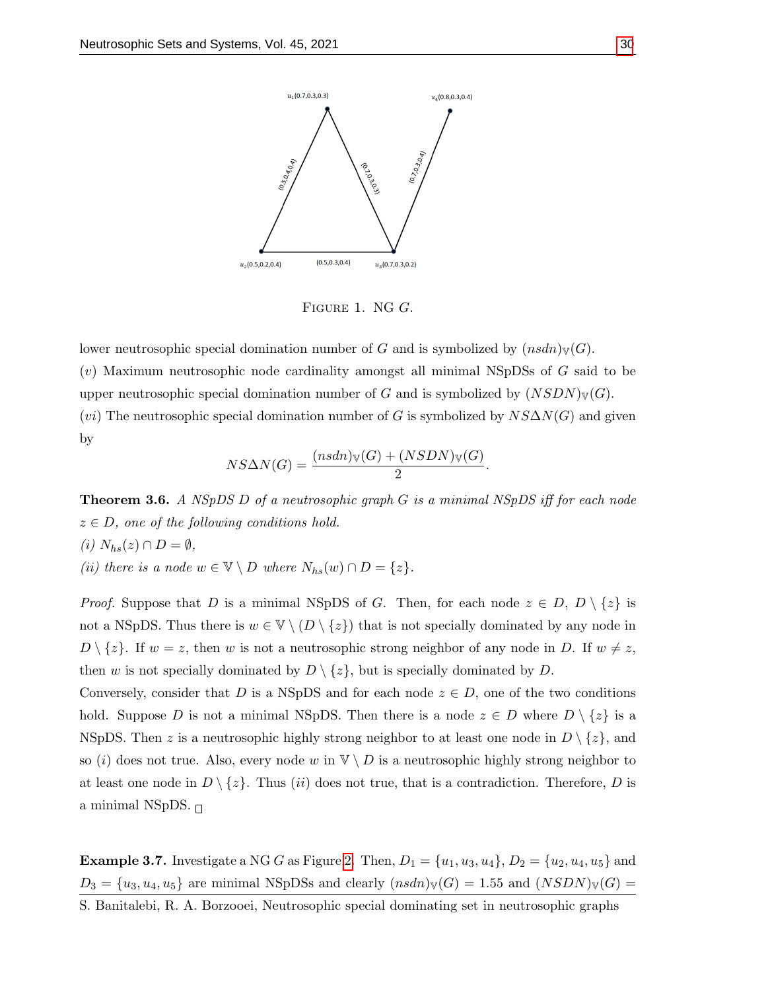<span id="page-4-0"></span>

FIGURE 1. NG G.

lower neutrosophic special domination number of G and is symbolized by  $(nsdn)\mathbf{v}(G)$ .  $(v)$  Maximum neutrosophic node cardinality amongst all minimal NSpDSs of  $G$  said to be upper neutrosophic special domination number of G and is symbolized by  $(NSDN)_{V}(G)$ . (vi) The neutrosophic special domination number of G is symbolized by  $NS\Delta N(G)$  and given by

$$
NS\Delta N(G) = \frac{(nsdn)_{\mathbb{V}}(G) + (NSDN)_{\mathbb{V}}(G)}{2}.
$$

<span id="page-4-1"></span>**Theorem 3.6.** A NSpDS D of a neutrosophic graph G is a minimal NSpDS iff for each node  $z \in D$ , one of the following conditions hold. (i)  $N_{hs}(z) \cap D = \emptyset$ ,

(ii) there is a node  $w \in \mathbb{V} \setminus D$  where  $N_{hs}(w) \cap D = \{z\}.$ 

*Proof.* Suppose that D is a minimal NSpDS of G. Then, for each node  $z \in D$ ,  $D \setminus \{z\}$  is not a NSpDS. Thus there is  $w \in V \setminus (D \setminus \{z\})$  that is not specially dominated by any node in  $D \setminus \{z\}$ . If  $w = z$ , then w is not a neutrosophic strong neighbor of any node in D. If  $w \neq z$ , then w is not specially dominated by  $D \setminus \{z\}$ , but is specially dominated by D.

Conversely, consider that D is a NSpDS and for each node  $z \in D$ , one of the two conditions hold. Suppose D is not a minimal NSpDS. Then there is a node  $z \in D$  where  $D \setminus \{z\}$  is a NSpDS. Then z is a neutrosophic highly strong neighbor to at least one node in  $D \setminus \{z\}$ , and so (i) does not true. Also, every node w in  $\mathbb{V} \setminus D$  is a neutrosophic highly strong neighbor to at least one node in  $D \setminus \{z\}$ . Thus *(ii)* does not true, that is a contradiction. Therefore, D is a minimal NSpDS.  $\Box$ 

**Example 3.7.** Investigate a NG G as Figure [2.](#page-5-0) Then,  $D_1 = \{u_1, u_3, u_4\}$ ,  $D_2 = \{u_2, u_4, u_5\}$  and  $D_3 = {u_3, u_4, u_5}$  are minimal NSpDSs and clearly  $(nsdn)_{\mathbb{V}}(G) = 1.55$  and  $(NSDN)_{\mathbb{V}}(G) =$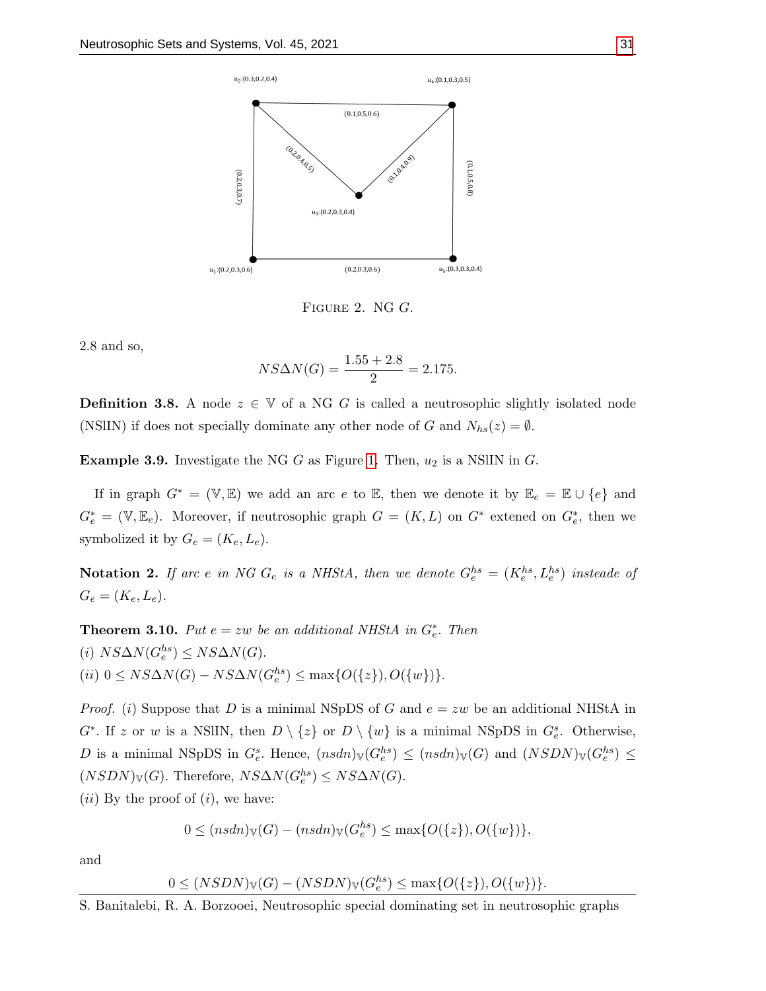<span id="page-5-0"></span>

Figure 2. NG G.

2.8 and so,

$$
NS\Delta N(G) = \frac{1.55 + 2.8}{2} = 2.175.
$$

**Definition 3.8.** A node  $z \in V$  of a NG G is called a neutrosophic slightly isolated node (NSIIN) if does not specially dominate any other node of G and  $N_{hs}(z) = \emptyset$ .

**Example 3.9.** Investigate the NG G as Figure [1.](#page-4-0) Then,  $u_2$  is a NSIIN in G.

If in graph  $G^* = (\mathbb{V}, \mathbb{E})$  we add an arc e to  $\mathbb{E}$ , then we denote it by  $\mathbb{E}_e = \mathbb{E} \cup \{e\}$  and  $G_e^* = (\mathbb{V}, \mathbb{E}_e)$ . Moreover, if neutrosophic graph  $G = (K, L)$  on  $G^*$  extened on  $G_e^*$ , then we symbolized it by  $G_e = (K_e, L_e)$ .

**Notation 2.** If arc e in NG  $G_e$  is a NHStA, then we denote  $G_e^{hs} = (K_e^{hs}, L_e^{hs})$  insteade of  $G_e = (K_e, L_e).$ 

**Theorem 3.10.** Put  $e = zw$  be an additional NHStA in  $G_e^*$ . Then (i)  $NS\Delta N(G_e^{hs}) \leq NS\Delta N(G)$ . (ii)  $0 \leq NS\Delta N(G) - NS\Delta N(G_e^{hs}) \leq \max\{O(\{z\}), O(\{w\})\}.$ 

*Proof.* (i) Suppose that D is a minimal NSpDS of G and  $e = zw$  be an additional NHStA in  $G^*$ . If z or w is a NSIIN, then  $D \setminus \{z\}$  or  $D \setminus \{w\}$  is a minimal NSpDS in  $G_e^s$ . Otherwise, D is a minimal NSpDS in  $G_e^s$ . Hence,  $(nsdn)_{\mathbb{V}}(G_e^{hs}) \leq (nsdn)_{\mathbb{V}}(G)$  and  $(NSDN)_{\mathbb{V}}(G_e^{hs}) \leq$  $(NSDN)_{\mathbb{V}}(G)$ . Therefore,  $NS\Delta N(G_e^{hs}) \leq NS\Delta N(G)$ .

 $(ii)$  By the proof of  $(i)$ , we have:

$$
0 \leq (nsdn)_{\mathbb{V}}(G) - (nsdn)_{\mathbb{V}}(G_e^{hs}) \leq \max\{O(\{z\}), O(\{w\})\},\
$$

and

$$
0 \leq (NSDN)_{\mathbb{V}}(G) - (NSDN)_{\mathbb{V}}(G_e^{hs}) \leq \max\{O(\{z\}), O(\{w\})\}.
$$

S. Banitalebi, R. A. Borzooei, Neutrosophic special dominating set in neutrosophic graphs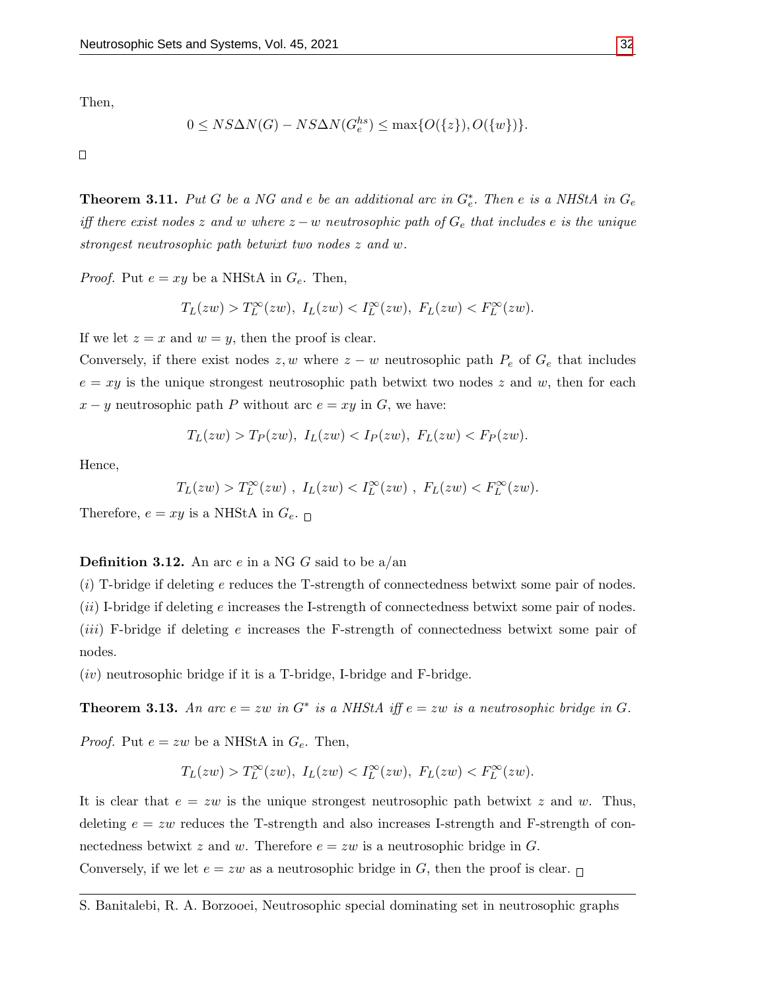Then,

$$
0 \leq NS\Delta N(G) - NS\Delta N(G_e^{hs}) \leq \max\{O(\{z\}), O(\{w\})\}.
$$

 $\Box$ 

**Theorem 3.11.** Put G be a NG and e be an additional arc in  $G_e^*$ . Then e is a NHStA in  $G_e$ iff there exist nodes z and w where  $z - w$  neutrosophic path of  $G_e$  that includes e is the unique strongest neutrosophic path betwixt two nodes z and w.

*Proof.* Put  $e = xy$  be a NHStA in  $G_e$ . Then,

$$
T_L(zw) > T_L^{\infty}(zw), \ I_L(zw) < T_L^{\infty}(zw), \ F_L(zw) < F_L^{\infty}(zw).
$$

If we let  $z = x$  and  $w = y$ , then the proof is clear.

Conversely, if there exist nodes  $z, w$  where  $z - w$  neutrosophic path  $P_e$  of  $G_e$  that includes  $e = xy$  is the unique strongest neutrosophic path betwixt two nodes z and w, then for each  $x - y$  neutrosophic path P without arc  $e = xy$  in G, we have:

$$
T_L(zw) > T_P(zw), I_L(zw) < I_P(zw), F_L(zw) < F_P(zw).
$$

Hence,

$$
T_L(zw) > T_L^{\infty}(zw) \ , \ I_L(zw) < I_L^{\infty}(zw) \ , \ F_L(zw) < F_L^{\infty}(zw).
$$

Therefore,  $e = xy$  is a NHStA in  $G_{e}$ .

### **Definition 3.12.** An arc  $e$  in a NG  $G$  said to be a/an

 $(i)$  T-bridge if deleting e reduces the T-strength of connectedness betwixt some pair of nodes.  $(ii)$  I-bridge if deleting e increases the I-strength of connectedness betwixt some pair of nodes.  $(iii)$  F-bridge if deleting e increases the F-strength of connectedness betwixt some pair of nodes.

 $(iv)$  neutrosophic bridge if it is a T-bridge, I-bridge and F-bridge.

**Theorem 3.13.** An arc  $e = zw$  in  $G^*$  is a NHStA iff  $e = zw$  is a neutrosophic bridge in  $G$ .

*Proof.* Put  $e = zw$  be a NHStA in  $G_e$ . Then,

$$
T_L(zw) > T_L^{\infty}(zw), \ I_L(zw) < I_L^{\infty}(zw), \ F_L(zw) < F_L^{\infty}(zw).
$$

It is clear that  $e = zw$  is the unique strongest neutrosophic path betwixt z and w. Thus, deleting  $e = zw$  reduces the T-strength and also increases I-strength and F-strength of connectedness betwixt z and w. Therefore  $e = zw$  is a neutrosophic bridge in G. Conversely, if we let  $e = zw$  as a neutrosophic bridge in G, then the proof is clear.  $\Box$ 

S. Banitalebi, R. A. Borzooei, Neutrosophic special dominating set in neutrosophic graphs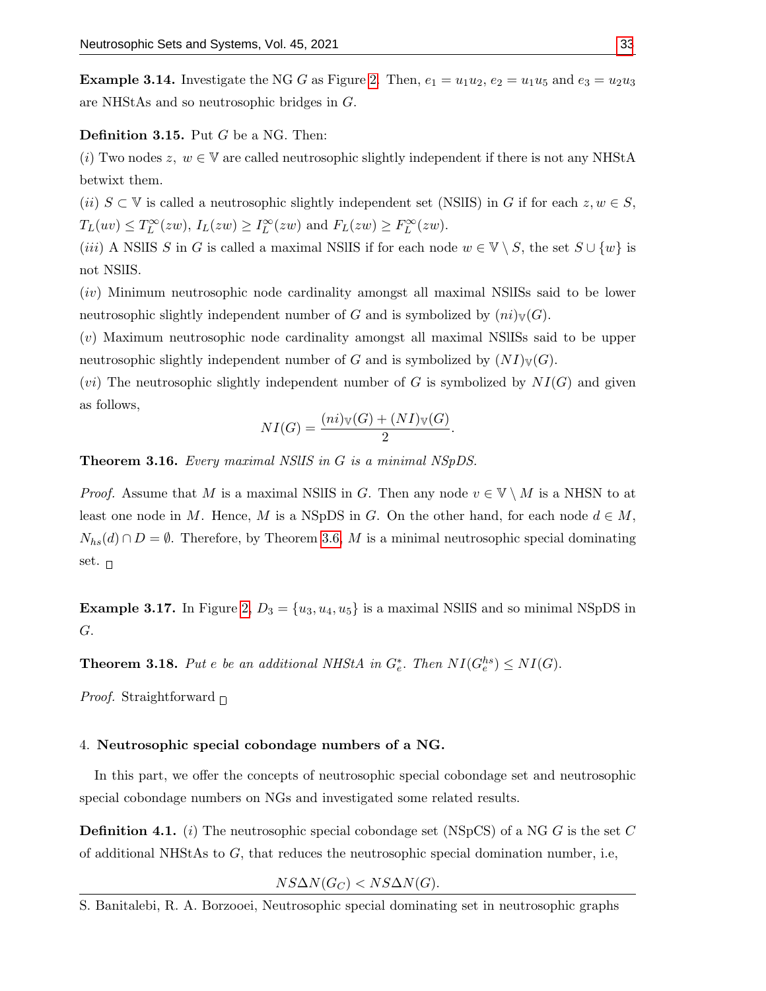**Example 3.14.** Investigate the NG G as Figure [2.](#page-5-0) Then,  $e_1 = u_1u_2$ ,  $e_2 = u_1u_5$  and  $e_3 = u_2u_3$ are NHStAs and so neutrosophic bridges in G.

#### Definition 3.15. Put G be a NG. Then:

(i) Two nodes z,  $w \in V$  are called neutrosophic slightly independent if there is not any NHStA betwixt them.

(ii)  $S \subset \mathbb{V}$  is called a neutrosophic slightly independent set (NSIIS) in G if for each  $z, w \in S$ ,  $T_L(uv) \leq T_L^{\infty}(zw)$ ,  $I_L(zw) \geq I_L^{\infty}(zw)$  and  $F_L(zw) \geq F_L^{\infty}(zw)$ .

(iii) A NSIIS S in G is called a maximal NSIIS if for each node  $w \in V \setminus S$ , the set  $S \cup \{w\}$  is not NSlIS.

(iv) Minimum neutrosophic node cardinality amongst all maximal NSlISs said to be lower neutrosophic slightly independent number of G and is symbolized by  $(ni)_{\mathbb{V}}(G)$ .

(v) Maximum neutrosophic node cardinality amongst all maximal NSlISs said to be upper neutrosophic slightly independent number of G and is symbolized by  $(NI)_{\mathbb{V}}(G)$ .

(*vi*) The neutrosophic slightly independent number of G is symbolized by  $NI(G)$  and given as follows,

$$
NI(G) = \frac{(ni)_{\mathbb{V}}(G) + (NI)_{\mathbb{V}}(G)}{2}.
$$

Theorem 3.16. Every maximal NSlIS in G is a minimal NSpDS.

*Proof.* Assume that M is a maximal NSIIS in G. Then any node  $v \in V \setminus M$  is a NHSN to at least one node in M. Hence, M is a NSpDS in G. On the other hand, for each node  $d \in M$ ,  $N_{hs}(d) \cap D = \emptyset$ . Therefore, by Theorem [3.6,](#page-4-1) M is a minimal neutrosophic special dominating set.  $\Box$ 

**Example 3.17.** In Figure [2,](#page-5-0)  $D_3 = \{u_3, u_4, u_5\}$  is a maximal NSIIS and so minimal NSpDS in G.

**Theorem 3.18.** Put e be an additional NHStA in  $G_e^*$ . Then  $NI(G_e^{hs}) \leq NI(G)$ .

*Proof.* Straightforward  $\Box$ 

#### 4. Neutrosophic special cobondage numbers of a NG.

In this part, we offer the concepts of neutrosophic special cobondage set and neutrosophic special cobondage numbers on NGs and investigated some related results.

**Definition 4.1.** (i) The neutrosophic special cobondage set (NSpCS) of a NG G is the set C of additional NHStAs to  $G$ , that reduces the neutrosophic special domination number, i.e,

 $NS\Delta N(G_C) < NS\Delta N(G)$ .

S. Banitalebi, R. A. Borzooei, Neutrosophic special dominating set in neutrosophic graphs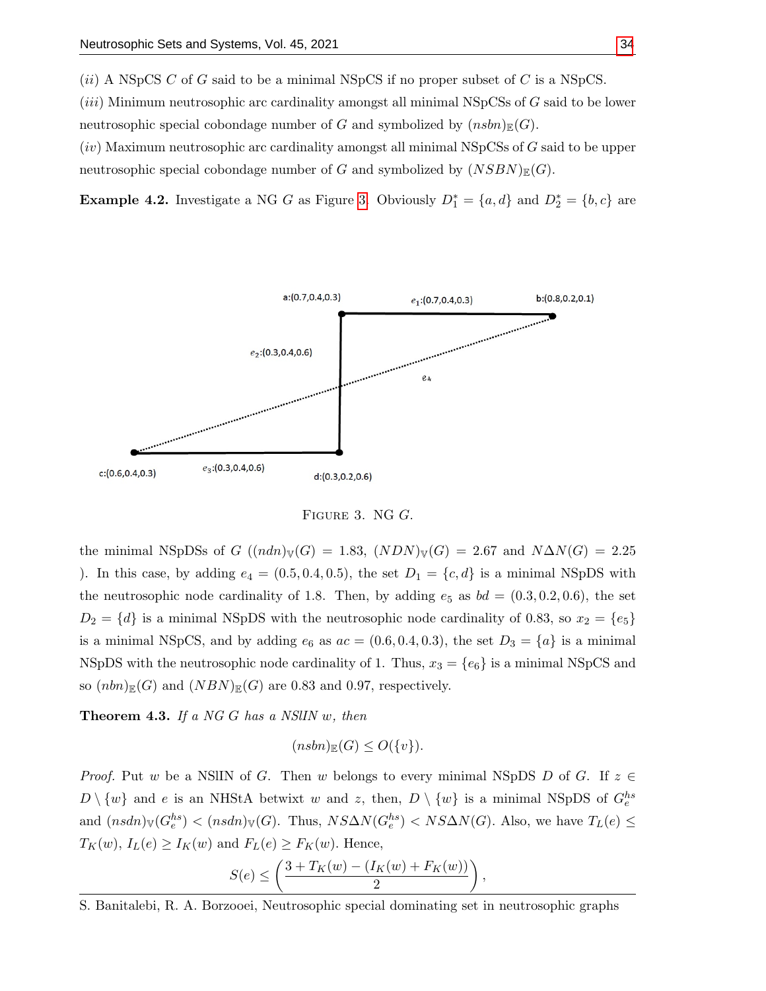$(ii)$  A NSpCS C of G said to be a minimal NSpCS if no proper subset of C is a NSpCS.

 $(iii)$  Minimum neutrosophic arc cardinality amongst all minimal NSpCSs of  $G$  said to be lower neutrosophic special cobondage number of G and symbolized by  $(nsbn)_{\mathbb{F}}(G)$ .

 $(iv)$  Maximum neutrosophic arc cardinality amongst all minimal NSpCSs of  $G$  said to be upper neutrosophic special cobondage number of G and symbolized by  $(NSBN)_{\mathbb{E}}(G)$ .

<span id="page-8-0"></span>**Example 4.2.** Investigate a NG G as Figure [3.](#page-8-0) Obviously  $D_1^* = \{a, d\}$  and  $D_2^* = \{b, c\}$  are



Figure 3. NG G.

the minimal NSpDSs of G  $((ndn)_\mathbb{V}(G) = 1.83, (NDN)_\mathbb{V}(G) = 2.67,$  and  $N\Delta N(G) = 2.25$ ). In this case, by adding  $e_4 = (0.5, 0.4, 0.5)$ , the set  $D_1 = \{c, d\}$  is a minimal NSpDS with the neutrosophic node cardinality of 1.8. Then, by adding  $e_5$  as  $bd = (0.3, 0.2, 0.6)$ , the set  $D_2 = \{d\}$  is a minimal NSpDS with the neutrosophic node cardinality of 0.83, so  $x_2 = \{e_5\}$ is a minimal NSpCS, and by adding  $e_6$  as  $ac = (0.6, 0.4, 0.3)$ , the set  $D_3 = \{a\}$  is a minimal NSpDS with the neutrosophic node cardinality of 1. Thus,  $x_3 = \{e_6\}$  is a minimal NSpCS and so  $(nbn)_{\mathbb{E}}(G)$  and  $(NBN)_{\mathbb{E}}(G)$  are 0.83 and 0.97, respectively.

**Theorem 4.3.** If a NG G has a NSIIN  $w$ , then

$$
(nsbn)_{\mathbb{E}}(G) \le O({v}).
$$

*Proof.* Put w be a NSIIN of G. Then w belongs to every minimal NSpDS D of G. If  $z \in$  $D \setminus \{w\}$  and e is an NHStA betwixt w and z, then,  $D \setminus \{w\}$  is a minimal NSpDS of  $G_e^{hs}$ and  $(nsdn)_{\mathbb{V}}(G_e^{hs}) < (nsdn)_{\mathbb{V}}(G)$ . Thus,  $NS\Delta N(G_e^{hs}) < NS\Delta N(G)$ . Also, we have  $T_L(e) \le$  $T_K(w)$ ,  $I_L(e) \geq I_K(w)$  and  $F_L(e) \geq F_K(w)$ . Hence,

$$
S(e) \le \left(\frac{3 + T_K(w) - (I_K(w) + F_K(w))}{2}\right),
$$

S. Banitalebi, R. A. Borzooei, Neutrosophic special dominating set in neutrosophic graphs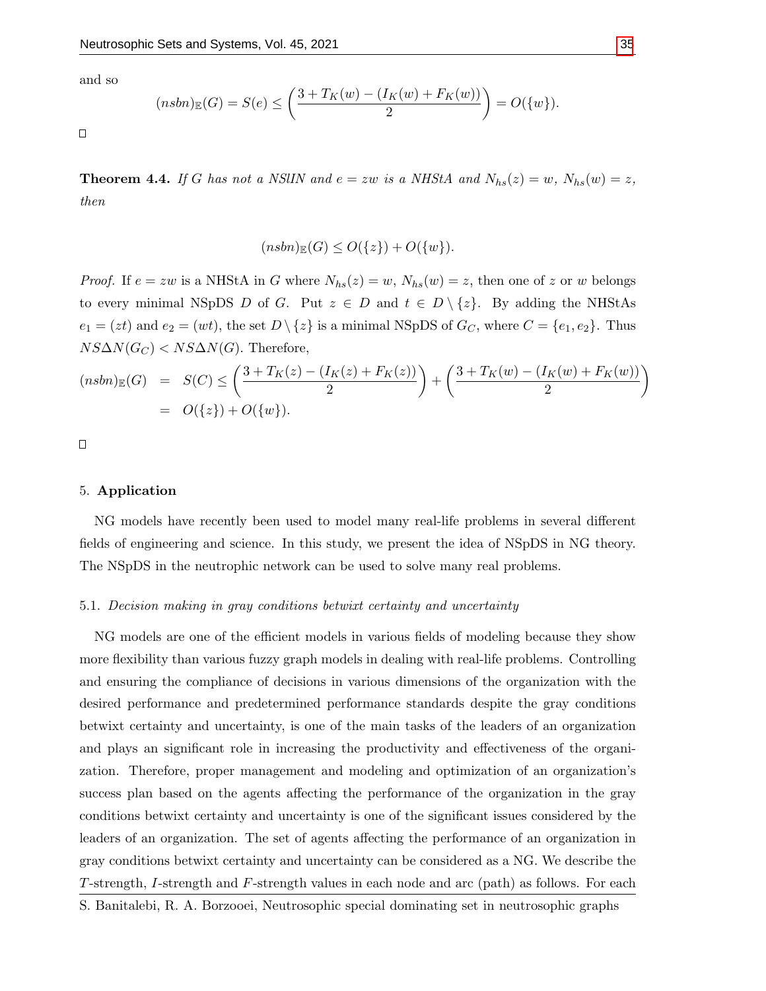and so

$$
(nsbn)_{\mathbb{E}}(G) = S(e) \le \left(\frac{3 + T_K(w) - (I_K(w) + F_K(w))}{2}\right) = O({w}).
$$

 $\Box$ 

**Theorem 4.4.** If G has not a NSIIN and  $e = zw$  is a NHStA and  $N_{hs}(z) = w$ ,  $N_{hs}(w) = z$ , then

$$
(nsbn)_{\mathbb{E}}(G) \le O({z}) + O({w}).
$$

*Proof.* If  $e = zw$  is a NHStA in G where  $N_{hs}(z) = w$ ,  $N_{hs}(w) = z$ , then one of z or w belongs to every minimal NSpDS D of G. Put  $z \in D$  and  $t \in D \setminus \{z\}$ . By adding the NHStAs  $e_1 = (zt)$  and  $e_2 = (wt)$ , the set  $D \setminus \{z\}$  is a minimal NSpDS of  $G_C$ , where  $C = \{e_1, e_2\}$ . Thus  $NS\Delta N(G_C) < NS\Delta N(G)$ . Therefore,

$$
(nsbn)_{\mathbb{E}}(G) = S(C) \le \left(\frac{3 + T_K(z) - (I_K(z) + F_K(z))}{2}\right) + \left(\frac{3 + T_K(w) - (I_K(w) + F_K(w))}{2}\right)
$$
  
=  $O({z}) + O({w}).$ 

 $\Box$ 

#### 5. Application

NG models have recently been used to model many real-life problems in several different fields of engineering and science. In this study, we present the idea of NSpDS in NG theory. The NSpDS in the neutrophic network can be used to solve many real problems.

#### 5.1. Decision making in gray conditions betwixt certainty and uncertainty

NG models are one of the efficient models in various fields of modeling because they show more flexibility than various fuzzy graph models in dealing with real-life problems. Controlling and ensuring the compliance of decisions in various dimensions of the organization with the desired performance and predetermined performance standards despite the gray conditions betwixt certainty and uncertainty, is one of the main tasks of the leaders of an organization and plays an significant role in increasing the productivity and effectiveness of the organization. Therefore, proper management and modeling and optimization of an organization's success plan based on the agents affecting the performance of the organization in the gray conditions betwixt certainty and uncertainty is one of the significant issues considered by the leaders of an organization. The set of agents affecting the performance of an organization in gray conditions betwixt certainty and uncertainty can be considered as a NG. We describe the T-strength, I-strength and F-strength values in each node and arc (path) as follows. For each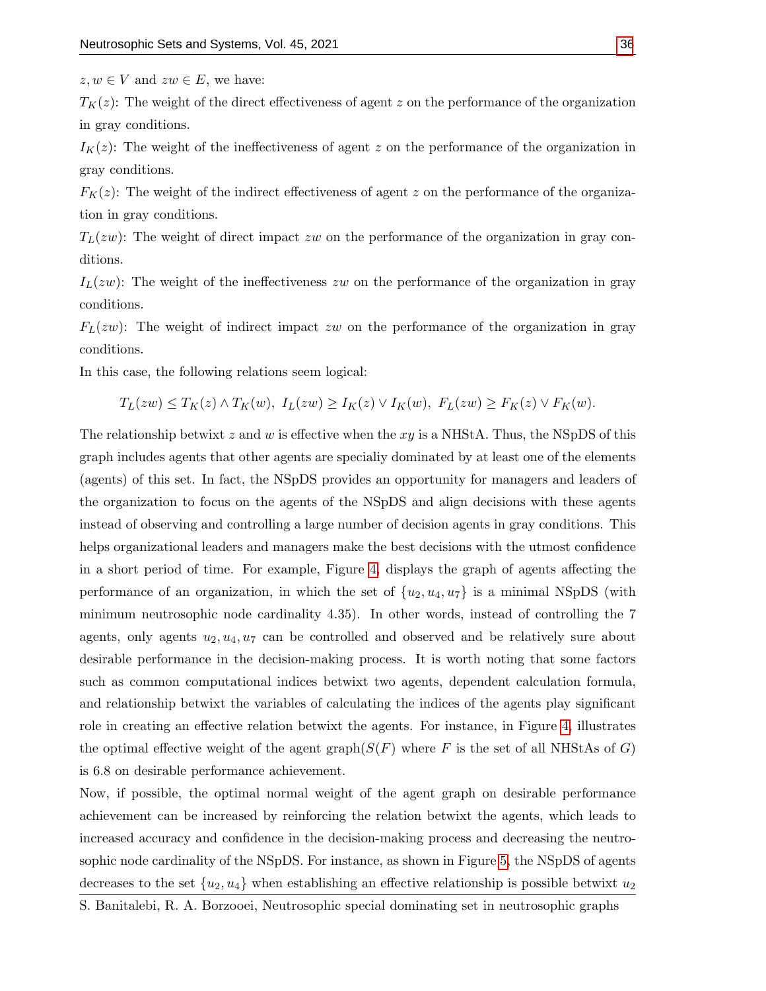$z, w \in V$  and  $zw \in E$ , we have:

 $T_K(z)$ : The weight of the direct effectiveness of agent z on the performance of the organization in gray conditions.

 $I_K(z)$ : The weight of the ineffectiveness of agent z on the performance of the organization in gray conditions.

 $F<sub>K</sub>(z)$ : The weight of the indirect effectiveness of agent z on the performance of the organization in gray conditions.

 $T_L(zw)$ : The weight of direct impact zw on the performance of the organization in gray conditions.

 $I_L(zw)$ : The weight of the ineffectiveness zw on the performance of the organization in gray conditions.

 $F<sub>L</sub>(zw)$ : The weight of indirect impact zw on the performance of the organization in gray conditions.

In this case, the following relations seem logical:

 $T_L(zw) \leq T_K(z) \wedge T_K(w), I_L(zw) \geq I_K(z) \vee I_K(w), F_L(zw) \geq F_K(z) \vee F_K(w).$ 

The relationship betwixt z and w is effective when the  $xy$  is a NHStA. Thus, the NSpDS of this graph includes agents that other agents are specialiy dominated by at least one of the elements (agents) of this set. In fact, the NSpDS provides an opportunity for managers and leaders of the organization to focus on the agents of the NSpDS and align decisions with these agents instead of observing and controlling a large number of decision agents in gray conditions. This helps organizational leaders and managers make the best decisions with the utmost confidence in a short period of time. For example, Figure [4,](#page-11-0) displays the graph of agents affecting the performance of an organization, in which the set of  $\{u_2, u_4, u_7\}$  is a minimal NSpDS (with minimum neutrosophic node cardinality 4.35). In other words, instead of controlling the 7 agents, only agents  $u_2, u_4, u_7$  can be controlled and observed and be relatively sure about desirable performance in the decision-making process. It is worth noting that some factors such as common computational indices betwixt two agents, dependent calculation formula, and relationship betwixt the variables of calculating the indices of the agents play significant role in creating an effective relation betwixt the agents. For instance, in Figure [4,](#page-11-0) illustrates the optimal effective weight of the agent graph( $S(F)$  where F is the set of all NHStAs of G) is 6.8 on desirable performance achievement.

Now, if possible, the optimal normal weight of the agent graph on desirable performance achievement can be increased by reinforcing the relation betwixt the agents, which leads to increased accuracy and confidence in the decision-making process and decreasing the neutrosophic node cardinality of the NSpDS. For instance, as shown in Figure [5,](#page-11-1) the NSpDS of agents decreases to the set  $\{u_2, u_4\}$  when establishing an effective relationship is possible betwixt  $u_2$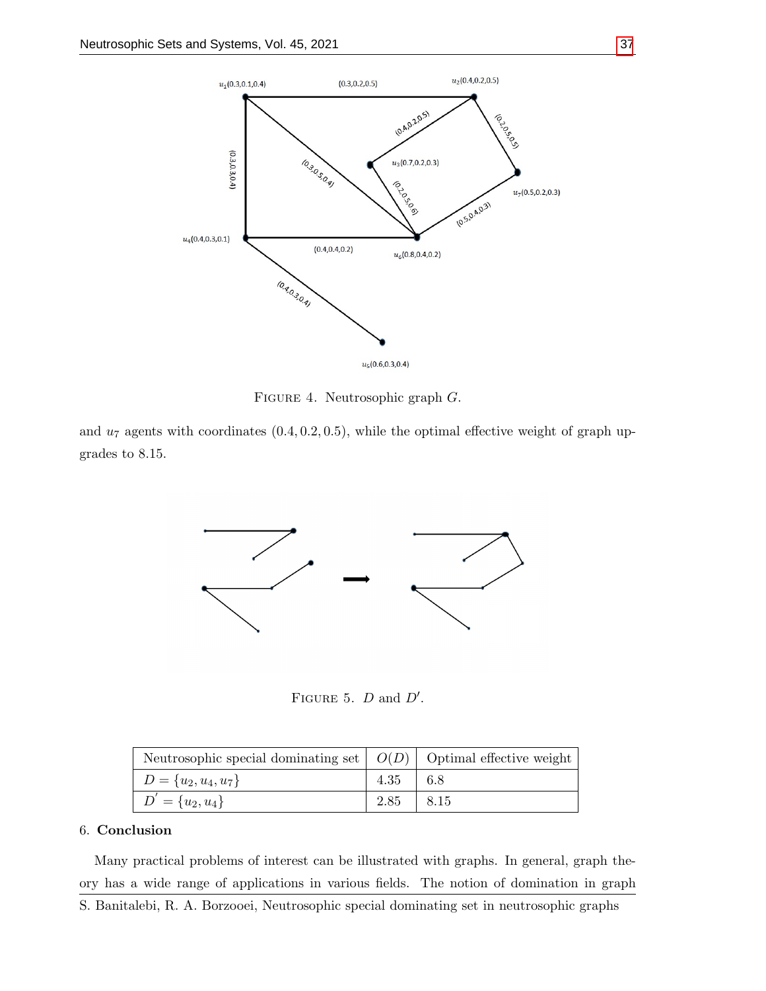<span id="page-11-0"></span>

Figure 4. Neutrosophic graph G.

<span id="page-11-1"></span>and  $u_7$  agents with coordinates  $(0.4, 0.2, 0.5)$ , while the optimal effective weight of graph upgrades to 8.15.



FIGURE 5.  $D$  and  $D'$ .

| $D = \{u_2, u_4, u_7\}$ | $4.35 \pm 6.8$ |  |
|-------------------------|----------------|--|
| $D' = \{u_2, u_4\}$     | $2.85$   8.15  |  |

## 6. Conclusion

Many practical problems of interest can be illustrated with graphs. In general, graph theory has a wide range of applications in various fields. The notion of domination in graph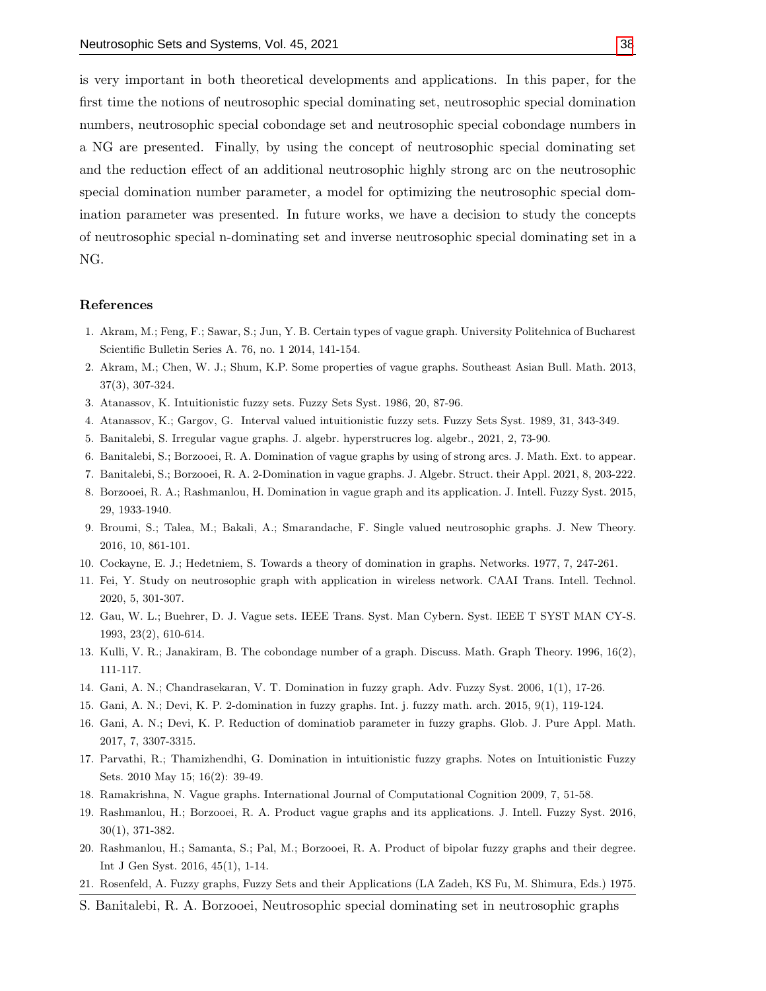is very important in both theoretical developments and applications. In this paper, for the first time the notions of neutrosophic special dominating set, neutrosophic special domination numbers, neutrosophic special cobondage set and neutrosophic special cobondage numbers in a NG are presented. Finally, by using the concept of neutrosophic special dominating set and the reduction effect of an additional neutrosophic highly strong arc on the neutrosophic special domination number parameter, a model for optimizing the neutrosophic special domination parameter was presented. In future works, we have a decision to study the concepts of neutrosophic special n-dominating set and inverse neutrosophic special dominating set in a NG.

#### References

- 1. Akram, M.; Feng, F.; Sawar, S.; Jun, Y. B. Certain types of vague graph. University Politehnica of Bucharest Scientific Bulletin Series A. 76, no. 1 2014, 141-154.
- 2. Akram, M.; Chen, W. J.; Shum, K.P. Some properties of vague graphs. Southeast Asian Bull. Math. 2013, 37(3), 307-324.
- <span id="page-12-0"></span>3. Atanassov, K. Intuitionistic fuzzy sets. Fuzzy Sets Syst. 1986, 20, 87-96.
- <span id="page-12-1"></span>4. Atanassov, K.; Gargov, G. Interval valued intuitionistic fuzzy sets. Fuzzy Sets Syst. 1989, 31, 343-349.
- 5. Banitalebi, S. Irregular vague graphs. J. algebr. hyperstrucres log. algebr., 2021, 2, 73-90.
- 6. Banitalebi, S.; Borzooei, R. A. Domination of vague graphs by using of strong arcs. J. Math. Ext. to appear.
- 7. Banitalebi, S.; Borzooei, R. A. 2-Domination in vague graphs. J. Algebr. Struct. their Appl. 2021, 8, 203-222.
- 8. Borzooei, R. A.; Rashmanlou, H. Domination in vague graph and its application. J. Intell. Fuzzy Syst. 2015, 29, 1933-1940.
- <span id="page-12-2"></span>9. Broumi, S.; Talea, M.; Bakali, A.; Smarandache, F. Single valued neutrosophic graphs. J. New Theory. 2016, 10, 861-101.
- 10. Cockayne, E. J.; Hedetniem, S. Towards a theory of domination in graphs. Networks. 1977, 7, 247-261.
- <span id="page-12-3"></span>11. Fei, Y. Study on neutrosophic graph with application in wireless network. CAAI Trans. Intell. Technol. 2020, 5, 301-307.
- 12. Gau, W. L.; Buehrer, D. J. Vague sets. IEEE Trans. Syst. Man Cybern. Syst. IEEE T SYST MAN CY-S. 1993, 23(2), 610-614.
- 13. Kulli, V. R.; Janakiram, B. The cobondage number of a graph. Discuss. Math. Graph Theory. 1996, 16(2), 111-117.
- 14. Gani, A. N.; Chandrasekaran, V. T. Domination in fuzzy graph. Adv. Fuzzy Syst. 2006, 1(1), 17-26.
- 15. Gani, A. N.; Devi, K. P. 2-domination in fuzzy graphs. Int. j. fuzzy math. arch. 2015, 9(1), 119-124.
- 16. Gani, A. N.; Devi, K. P. Reduction of dominatiob parameter in fuzzy graphs. Glob. J. Pure Appl. Math. 2017, 7, 3307-3315.
- 17. Parvathi, R.; Thamizhendhi, G. Domination in intuitionistic fuzzy graphs. Notes on Intuitionistic Fuzzy Sets. 2010 May 15; 16(2): 39-49.
- 18. Ramakrishna, N. Vague graphs. International Journal of Computational Cognition 2009, 7, 51-58.
- 19. Rashmanlou, H.; Borzooei, R. A. Product vague graphs and its applications. J. Intell. Fuzzy Syst. 2016, 30(1), 371-382.
- 20. Rashmanlou, H.; Samanta, S.; Pal, M.; Borzooei, R. A. Product of bipolar fuzzy graphs and their degree. Int J Gen Syst. 2016, 45(1), 1-14.
- 21. Rosenfeld, A. Fuzzy graphs, Fuzzy Sets and their Applications (LA Zadeh, KS Fu, M. Shimura, Eds.) 1975.
- S. Banitalebi, R. A. Borzooei, Neutrosophic special dominating set in neutrosophic graphs